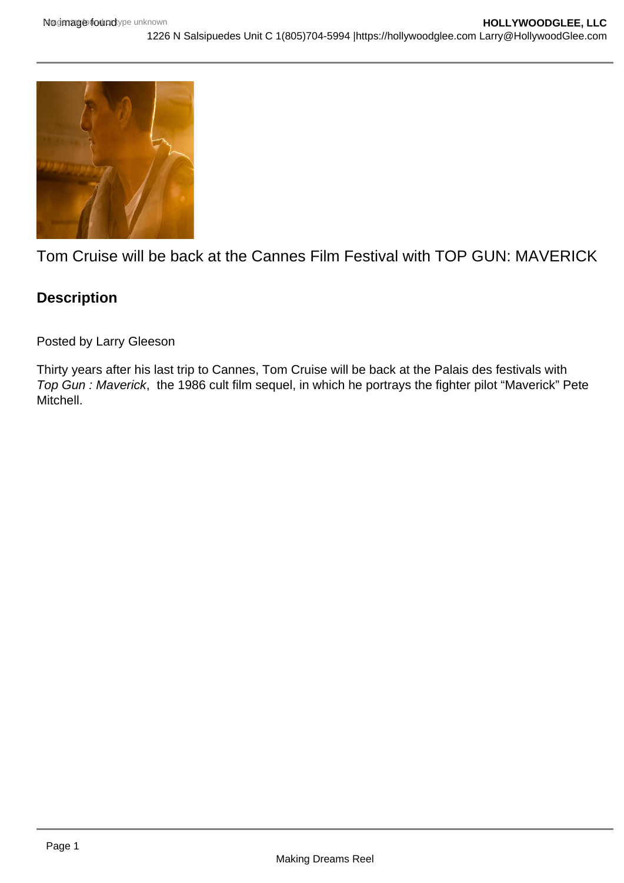

Tom Cruise will be back at the Cannes Film Festival with TOP GUN: MAVERICK

## **Description**

Posted by Larry Gleeson

Thirty years after his last trip to Cannes, Tom Cruise will be back at the Palais des festivals with Top Gun : Maverick, the 1986 cult film sequel, in which he portrays the fighter pilot "Maverick" Pete Mitchell.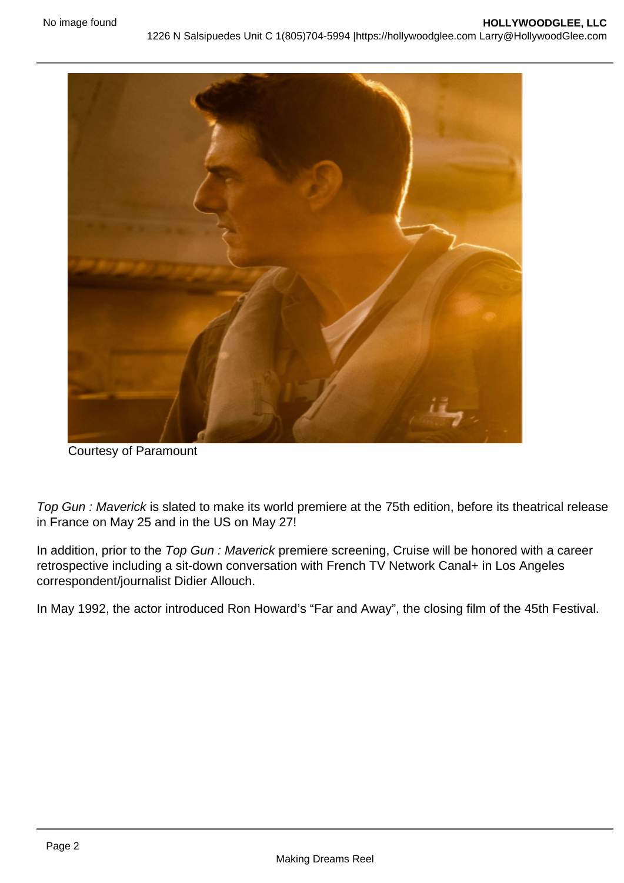Courtesy of Paramount

Top Gun : Maverick is slated to make its world premiere at the 75th edition, before its theatrical release in France on May 25 and in the US on May 27!

In addition, prior to the Top Gun : Maverick premiere screening, Cruise will be honored with a career retrospective including a sit-down conversation with French TV Network Canal+ in Los Angeles correspondent/journalist Didier Allouch.

In May 1992, the actor introduced Ron Howard's "Far and Away", the closing film of the 45th Festival.